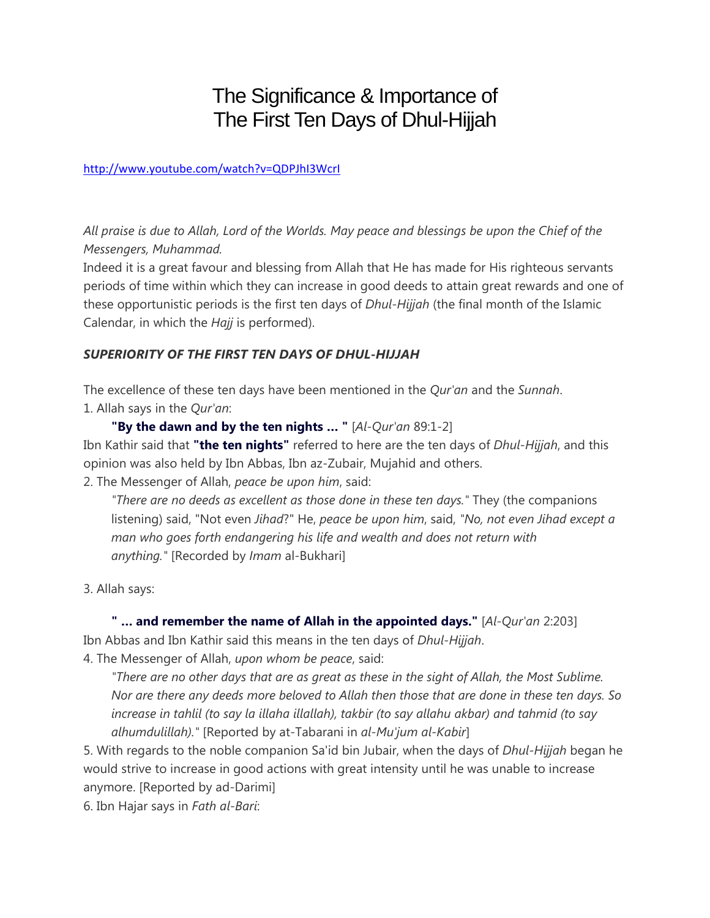## The Significance & Importance of The First Ten Days of Dhul-Hijjah

http://www.youtube.com/watch?v=QDPJhI3WcrI

*All praise is due to Allah, Lord of the Worlds. May peace and blessings be upon the Chief of the Messengers, Muhammad.*

Indeed it is a great favour and blessing from Allah that He has made for His righteous servants periods of time within which they can increase in good deeds to attain great rewards and one of these opportunistic periods is the first ten days of *Dhul-Hijjah* (the final month of the Islamic Calendar, in which the *Hajj* is performed).

## *SUPERIORITY OF THE FIRST TEN DAYS OF DHUL-HIJJAH*

The excellence of these ten days have been mentioned in the *Qur'an* and the *Sunnah*. 1. Allah says in the *Qur'an*:

**"By the dawn and by the ten nights … "** [*Al-Qur'an* 89:1-2] Ibn Kathir said that **"the ten nights"** referred to here are the ten days of *Dhul-Hijjah*, and this opinion was also held by Ibn Abbas, Ibn az-Zubair, Mujahid and others.

2. The Messenger of Allah, *peace be upon him*, said:

*"There are no deeds as excellent as those done in these ten days."* They (the companions listening) said, "Not even *Jihad*?" He, *peace be upon him*, said, *"No, not even Jihad except a man who goes forth endangering his life and wealth and does not return with anything."* [Recorded by *Imam* al-Bukhari]

3. Allah says:

**" … and remember the name of Allah in the appointed days."** [*Al-Qur'an* 2:203] Ibn Abbas and Ibn Kathir said this means in the ten days of *Dhul-Hijjah*.

4. The Messenger of Allah, *upon whom be peace*, said:

*"There are no other days that are as great as these in the sight of Allah, the Most Sublime. Nor are there any deeds more beloved to Allah then those that are done in these ten days. So increase in tahlil (to say la illaha illallah), takbir (to say allahu akbar) and tahmid (to say alhumdulillah)."* [Reported by at-Tabarani in *al-Mu'jum al-Kabir*]

5. With regards to the noble companion Sa'id bin Jubair, when the days of *Dhul-Hijjah* began he would strive to increase in good actions with great intensity until he was unable to increase anymore. [Reported by ad-Darimi]

6. Ibn Hajar says in *Fath al-Bari*: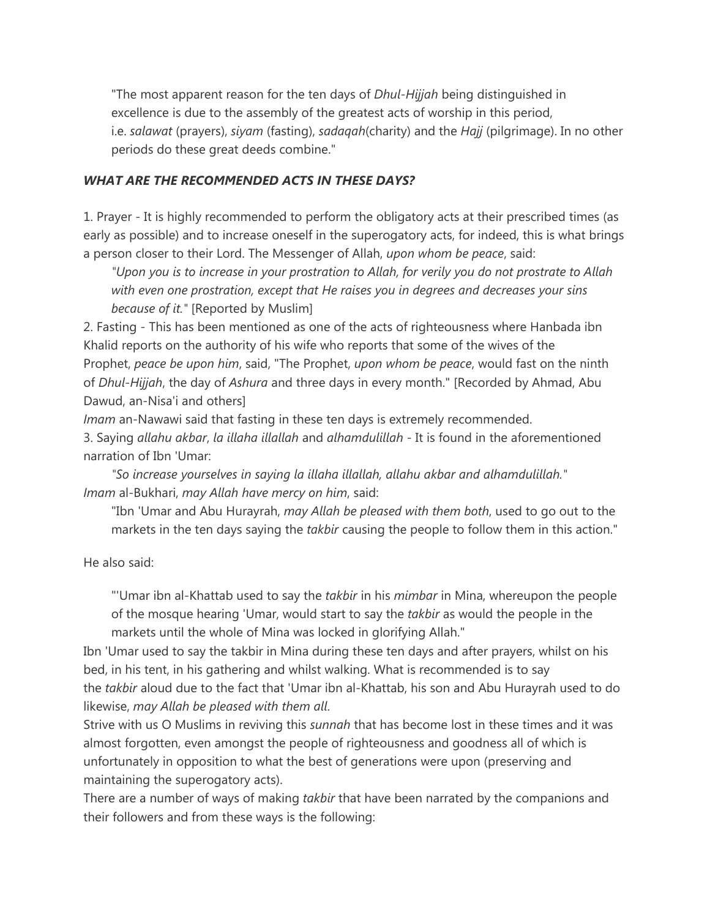"The most apparent reason for the ten days of *Dhul-Hijjah* being distinguished in excellence is due to the assembly of the greatest acts of worship in this period, i.e. *salawat* (prayers), *siyam* (fasting), *sadaqah*(charity) and the *Hajj* (pilgrimage). In no other periods do these great deeds combine."

### *WHAT ARE THE RECOMMENDED ACTS IN THESE DAYS?*

1. Prayer - It is highly recommended to perform the obligatory acts at their prescribed times (as early as possible) and to increase oneself in the superogatory acts, for indeed, this is what brings a person closer to their Lord. The Messenger of Allah, *upon whom be peace*, said:

*"Upon you is to increase in your prostration to Allah, for verily you do not prostrate to Allah with even one prostration, except that He raises you in degrees and decreases your sins because of it."* [Reported by Muslim]

2. Fasting - This has been mentioned as one of the acts of righteousness where Hanbada ibn Khalid reports on the authority of his wife who reports that some of the wives of the Prophet, *peace be upon him*, said, "The Prophet, *upon whom be peace*, would fast on the ninth of *Dhul-Hijjah*, the day of *Ashura* and three days in every month." [Recorded by Ahmad, Abu Dawud, an-Nisa'i and others]

*Imam* an-Nawawi said that fasting in these ten days is extremely recommended. 3. Saying *allahu akbar*, *la illaha illallah* and *alhamdulillah* - It is found in the aforementioned narration of Ibn 'Umar:

*"So increase yourselves in saying la illaha illallah, allahu akbar and alhamdulillah." Imam* al-Bukhari, *may Allah have mercy on him*, said:

"Ibn 'Umar and Abu Hurayrah, *may Allah be pleased with them both*, used to go out to the markets in the ten days saying the *takbir* causing the people to follow them in this action."

He also said:

"'Umar ibn al-Khattab used to say the *takbir* in his *mimbar* in Mina, whereupon the people of the mosque hearing 'Umar, would start to say the *takbir* as would the people in the markets until the whole of Mina was locked in glorifying Allah."

Ibn 'Umar used to say the takbir in Mina during these ten days and after prayers, whilst on his bed, in his tent, in his gathering and whilst walking. What is recommended is to say the *takbir* aloud due to the fact that 'Umar ibn al-Khattab, his son and Abu Hurayrah used to do likewise, *may Allah be pleased with them all*.

Strive with us O Muslims in reviving this *sunnah* that has become lost in these times and it was almost forgotten, even amongst the people of righteousness and goodness all of which is unfortunately in opposition to what the best of generations were upon (preserving and maintaining the superogatory acts).

There are a number of ways of making *takbir* that have been narrated by the companions and their followers and from these ways is the following: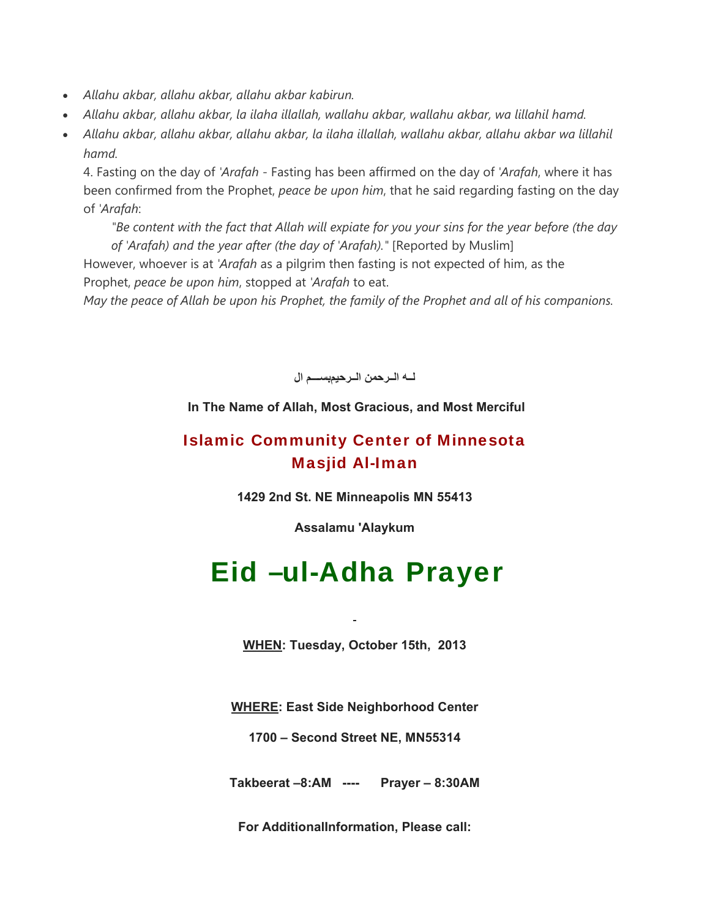- *Allahu akbar, allahu akbar, allahu akbar kabirun.*
- *Allahu akbar, allahu akbar, la ilaha illallah, wallahu akbar, wallahu akbar, wa lillahil hamd.*
- *Allahu akbar, allahu akbar, allahu akbar, la ilaha illallah, wallahu akbar, allahu akbar wa lillahil hamd.*

4. Fasting on the day of *'Arafah* - Fasting has been affirmed on the day of *'Arafah*, where it has been confirmed from the Prophet, *peace be upon him*, that he said regarding fasting on the day of *'Arafah*:

*"Be content with the fact that Allah will expiate for you your sins for the year before (the day of 'Arafah) and the year after (the day of 'Arafah)."* [Reported by Muslim]

However, whoever is at *'Arafah* as a pilgrim then fasting is not expected of him, as the Prophet, *peace be upon him*, stopped at *'Arafah* to eat.

*May the peace of Allah be upon his Prophet, the family of the Prophet and all of his companions.*

**لѧѧѧه الѧѧѧرحمن الѧѧѧرحيمبسѧѧѧѧѧم ال**

## **In The Name of Allah, Most Gracious, and Most Merciful**

## Islamic Community Center of Minnesota Masjid Al-Iman

**1429 2nd St. NE Minneapolis MN 55413**

**Assalamu 'Alaykum**

# Eid –ul-Adha Prayer

**WHEN: Tuesday, October 15th, 2013**

**WHERE: East Side Neighborhood Center**

**1700 – Second Street NE, MN55314**

**Takbeerat –8:AM ---- Prayer – 8:30AM**

**For AdditionalInformation, Please call:**